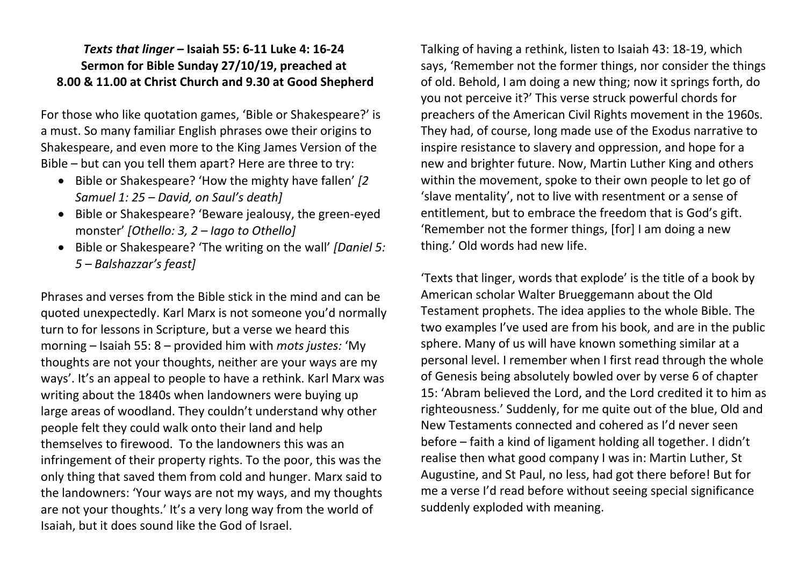## *Texts that linger –* **Isaiah 55: 6-11 Luke 4: 16-24 Sermon for Bible Sunday 27/10/19, preached at 8.00 & 11.00 at Christ Church and 9.30 at Good Shepherd**

For those who like quotation games, 'Bible or Shakespeare?' is a must. So many familiar English phrases owe their origins to Shakespeare, and even more to the King James Version of the Bible – but can you tell them apart? Here are three to try:

- Bible or Shakespeare? 'How the mighty have fallen' *[2 Samuel 1: 25 – David, on Saul's death]*
- Bible or Shakespeare? 'Beware jealousy, the green-eyed monster' *[Othello: 3, 2 – Iago to Othello]*
- Bible or Shakespeare? 'The writing on the wall' *[Daniel 5: 5 – Balshazzar's feast]*

Phrases and verses from the Bible stick in the mind and can be quoted unexpectedly. Karl Marx is not someone you'd normally turn to for lessons in Scripture, but a verse we heard this morning – Isaiah 55: 8 – provided him with *mots justes:* 'My thoughts are not your thoughts, neither are your ways are my ways'. It's an appeal to people to have a rethink. Karl Marx was writing about the 1840s when landowners were buying up large areas of woodland. They couldn't understand why other people felt they could walk onto their land and help themselves to firewood. To the landowners this was an infringement of their property rights. To the poor, this was the only thing that saved them from cold and hunger. Marx said to the landowners: 'Your ways are not my ways, and my thoughts are not your thoughts.' It's a very long way from the world of Isaiah, but it does sound like the God of Israel.

Talking of having a rethink, listen to Isaiah 43: 18-19, which says, 'Remember not the former things, nor consider the things of old. Behold, I am doing a new thing; now it springs forth, do you not perceive it?' This verse struck powerful chords for preachers of the American Civil Rights movement in the 1960s. They had, of course, long made use of the Exodus narrative to inspire resistance to slavery and oppression, and hope for a new and brighter future. Now, Martin Luther King and others within the movement, spoke to their own people to let go of 'slave mentality', not to live with resentment or a sense of entitlement, but to embrace the freedom that is God's gift. 'Remember not the former things, [for] I am doing a new thing.' Old words had new life.

'Texts that linger, words that explode' is the title of a book by American scholar Walter Brueggemann about the Old Testament prophets. The idea applies to the whole Bible. The two examples I've used are from his book, and are in the public sphere. Many of us will have known something similar at a personal level. I remember when I first read through the whole of Genesis being absolutely bowled over by verse 6 of chapter 15: 'Abram believed the Lord, and the Lord credited it to him as righteousness.' Suddenly, for me quite out of the blue, Old and New Testaments connected and cohered as I'd never seen before – faith a kind of ligament holding all together. I didn't realise then what good company I was in: Martin Luther, St Augustine, and St Paul, no less, had got there before! But for me a verse I'd read before without seeing special significance suddenly exploded with meaning.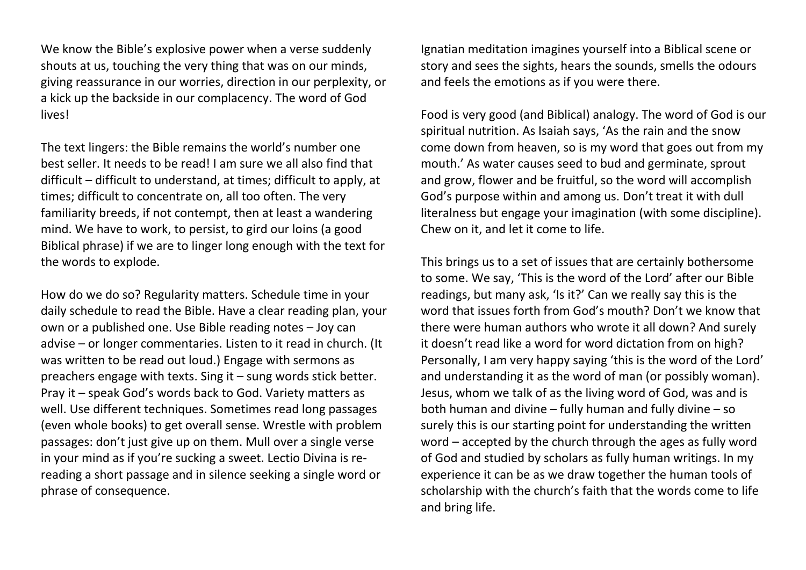We know the Bible's explosive power when a verse suddenly shouts at us, touching the very thing that was on our minds, giving reassurance in our worries, direction in our perplexity, or a kick up the backside in our complacency. The word of God lives!

The text lingers: the Bible remains the world's number one best seller. It needs to be read! I am sure we all also find that difficult – difficult to understand, at times; difficult to apply, at times; difficult to concentrate on, all too often. The very familiarity breeds, if not contempt, then at least a wandering mind. We have to work, to persist, to gird our loins (a good Biblical phrase) if we are to linger long enough with the text for the words to explode.

How do we do so? Regularity matters. Schedule time in your daily schedule to read the Bible. Have a clear reading plan, your own or a published one. Use Bible reading notes – Joy can advise – or longer commentaries. Listen to it read in church. (It was written to be read out loud.) Engage with sermons as preachers engage with texts. Sing it – sung words stick better. Pray it – speak God's words back to God. Variety matters as well. Use different techniques. Sometimes read long passages (even whole books) to get overall sense. Wrestle with problem passages: don't just give up on them. Mull over a single verse in your mind as if you're sucking a sweet. Lectio Divina is rereading a short passage and in silence seeking a single word or phrase of consequence.

Ignatian meditation imagines yourself into a Biblical scene or story and sees the sights, hears the sounds, smells the odours and feels the emotions as if you were there.

Food is very good (and Biblical) analogy. The word of God is our spiritual nutrition. As Isaiah says, 'As the rain and the snow come down from heaven, so is my word that goes out from my mouth.' As water causes seed to bud and germinate, sprout and grow, flower and be fruitful, so the word will accomplish God's purpose within and among us. Don't treat it with dull literalness but engage your imagination (with some discipline). Chew on it, and let it come to life.

This brings us to a set of issues that are certainly bothersome to some. We say, 'This is the word of the Lord' after our Bible readings, but many ask, 'Is it?' Can we really say this is the word that issues forth from God's mouth? Don't we know that there were human authors who wrote it all down? And surely it doesn't read like a word for word dictation from on high? Personally, I am very happy saying 'this is the word of the Lord' and understanding it as the word of man (or possibly woman). Jesus, whom we talk of as the living word of God, was and is both human and divine – fully human and fully divine – so surely this is our starting point for understanding the written word – accepted by the church through the ages as fully word of God and studied by scholars as fully human writings. In my experience it can be as we draw together the human tools of scholarship with the church's faith that the words come to life and bring life.